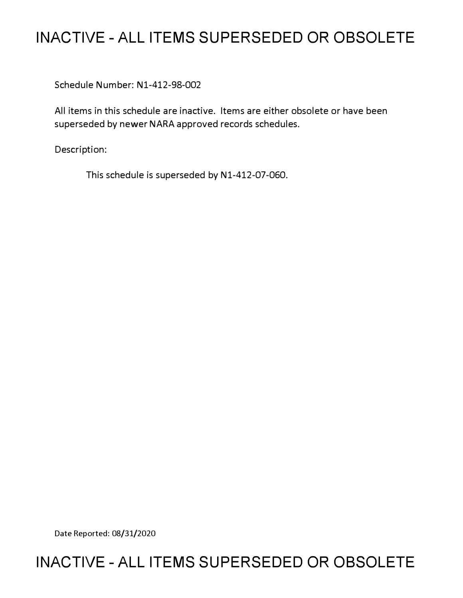# **INACTIVE - ALL ITEMS SUPERSEDED OR OBSOLETE**

Schedule Number: Nl-412-98-002

All items in this schedule are inactive. Items are either obsolete or have been superseded by newer NARA approved records schedules.

Description:

This schedule is superseded by N1-412-07-060.

Date Reported: 08/31/2020

# **INACTIVE - ALL ITEMS SUPERSEDED OR OBSOLETE**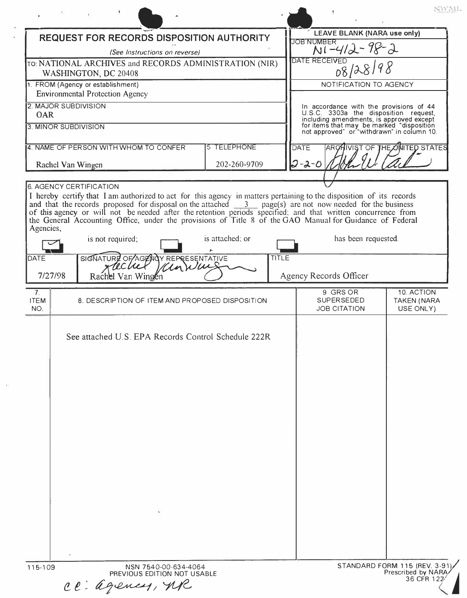| REQUEST FOR RECORDS DISPOSITION AUTHORITY                                      |                                                                                                                                                                                                                                                                                                                                                          |                 |                    | <b>LEAVE BLANK (NARA use only)</b> |                                                      |                                                                                                                                                                                                                         |  |
|--------------------------------------------------------------------------------|----------------------------------------------------------------------------------------------------------------------------------------------------------------------------------------------------------------------------------------------------------------------------------------------------------------------------------------------------------|-----------------|--------------------|------------------------------------|------------------------------------------------------|-------------------------------------------------------------------------------------------------------------------------------------------------------------------------------------------------------------------------|--|
| (See Instructions on reverse)                                                  |                                                                                                                                                                                                                                                                                                                                                          |                 |                    | JOB NUMBER<br>NI-412-98-2          |                                                      |                                                                                                                                                                                                                         |  |
| TO: NATIONAL ARCHIVES and RECORDS ADMINISTRATION (NIR)<br>WASHINGTON, DC 20408 |                                                                                                                                                                                                                                                                                                                                                          |                 |                    | DATE RECEIVED<br>08/28/98          |                                                      |                                                                                                                                                                                                                         |  |
| 1. FROM (Agency or establishment)<br><b>Environmental Protection Agency</b>    |                                                                                                                                                                                                                                                                                                                                                          |                 |                    | NOTIFICATION TO AGENCY             |                                                      |                                                                                                                                                                                                                         |  |
| 2. MAJOR SUBDIVISION                                                           |                                                                                                                                                                                                                                                                                                                                                          |                 |                    |                                    |                                                      |                                                                                                                                                                                                                         |  |
| <b>OAR</b><br>3. MINOR SUBDIVISION                                             |                                                                                                                                                                                                                                                                                                                                                          |                 |                    |                                    |                                                      | In accordance with the provisions of 44<br>U.S.C. 3303a the disposition request,<br>including amendments, is approved except<br>for items that may be marked "disposition<br>not approved" or "withdrawn" in column 10. |  |
|                                                                                |                                                                                                                                                                                                                                                                                                                                                          |                 |                    |                                    |                                                      |                                                                                                                                                                                                                         |  |
| 4. NAME OF PERSON WITH WHOM TO CONFER                                          |                                                                                                                                                                                                                                                                                                                                                          |                 | <b>5 TELEPHONE</b> |                                    | DATE<br><b>IVIST OF THE UNITED STATES</b><br>ARG     |                                                                                                                                                                                                                         |  |
| Rachel Van Wingen                                                              |                                                                                                                                                                                                                                                                                                                                                          |                 | 202-260-9709       |                                    | $2 - 2 - 0$                                          |                                                                                                                                                                                                                         |  |
|                                                                                | <b>6. AGENCY CERTIFICATION</b><br>I hereby certify that I am authorized to act for this agency in matters pertaining to the disposition of its records                                                                                                                                                                                                   |                 |                    |                                    |                                                      |                                                                                                                                                                                                                         |  |
|                                                                                | and that the records proposed for disposal on the attached $\frac{3}{\sqrt{3}}$ page(s) are not now needed for the business<br>of this agency or will not be needed after the retention periods specified; and that written concurrence from<br>the General Accounting Office, under the provisions of Title 8 of the GAO Manual for Guidance of Federal |                 |                    |                                    |                                                      |                                                                                                                                                                                                                         |  |
| Agencies,                                                                      | is not required;                                                                                                                                                                                                                                                                                                                                         | is attached; or |                    |                                    | has been requested.                                  |                                                                                                                                                                                                                         |  |
| <b>DATE</b>                                                                    | SIGNATURE OF AGENCY REPRESENTATIVE                                                                                                                                                                                                                                                                                                                       |                 | <b>TITLE</b>       |                                    |                                                      |                                                                                                                                                                                                                         |  |
| 7/27/98                                                                        | Rachel Van Wingen                                                                                                                                                                                                                                                                                                                                        |                 |                    |                                    | Agency Records Officer                               |                                                                                                                                                                                                                         |  |
| 7 <sub>1</sub><br><b>ITEM</b><br>NO.                                           | 8. DESCRIPTION OF ITEM AND PROPOSED DISPOSITION                                                                                                                                                                                                                                                                                                          |                 |                    |                                    | 9 GRS OR<br><b>SUPERSEDED</b><br><b>JOB CITATION</b> | 10. ACTION<br><b>TAKEN (NARA</b><br>USE ONLY)                                                                                                                                                                           |  |
|                                                                                | See attached U.S. EPA Records Control Schedule 222R                                                                                                                                                                                                                                                                                                      |                 |                    |                                    |                                                      |                                                                                                                                                                                                                         |  |
|                                                                                | NSN 7540-00-634-4064                                                                                                                                                                                                                                                                                                                                     |                 |                    |                                    |                                                      | STANDARD FORM 115 (REV. 3-91)                                                                                                                                                                                           |  |

ce àgency, MR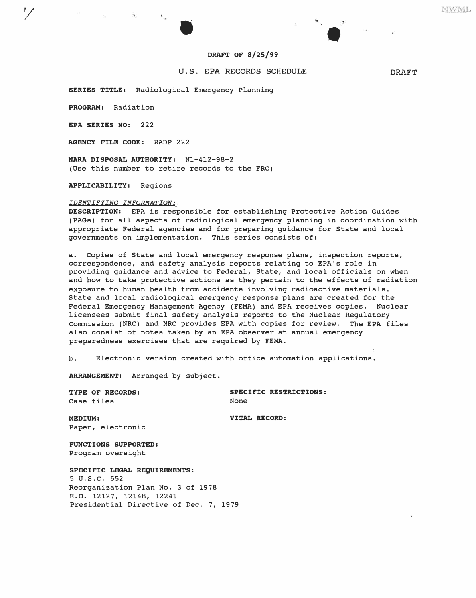

### **DRAFT OF 8/25/99**

## U.S. EPA RECORDS SCHEDULE **DRAFT**

**SERIES TITLE:** Radiological Emergency Planning

**PROGRAM:** Radiation

*1/* 

**EPA SERIES NO:** 222

**AGENCY FILE CODE:** RADP 222

**NARA DISPOSAL AUTHORITY:** Nl-412-98-2 (Use this number to retire records to the FRC)

**APPLICABILITY:** Regions

#### *IDENTIFYING INFORMATION:*

**DESCRIPTION:** EPA is responsible for establishing Protective Action Guides (PAGs) for all aspects of radiological emergency planning in coordination with appropriate Federal agencies and for preparing guidance for State and local governments on implementation. This series consists of:

a. Copies of State and local emergency response plans, inspection reports, correspondence, and safety analysis reports relating to EPA's role in providing guidance and advice to Federal, State, and local officials on when and how to take protective actions as they pertain to the effects of radiation exposure to human health from accidents involving radioactive materials. State and local radiological emergency response plans are created for the Federal Emergency Management Agency (FEMA) and EPA receives copies. Nuclear licensees submit final safety analysis reports to the Nuclear Regulatory Commission (NRC) and NRC provides EPA with copies for review. The EPA files also consist of notes taken by an EPA observer at annual emergency preparedness exercises that are required by FEMA.

b. Electronic version created with office automation applications.

**ARRANGEMENT:** Arranged by subject.

Case files

**TYPE OF RECORDS:** SPECIFIC RESTRICTIONS:<br>
Case files **SPECIFIC RESTRICTIONS:** 

**MEDIUM: VITAL RECORD:**  Paper, electronic

**FUNCTIONS SUPPORTED:**  Program oversight

**SPECIFIC LEGAL REQUIREMENTS: 5** u.s.c. **552**  Reorganization Plan No. 3 of 1978 E.O. 12127, 12148, 12241 Presidential Directive of Dec. 7, 1979